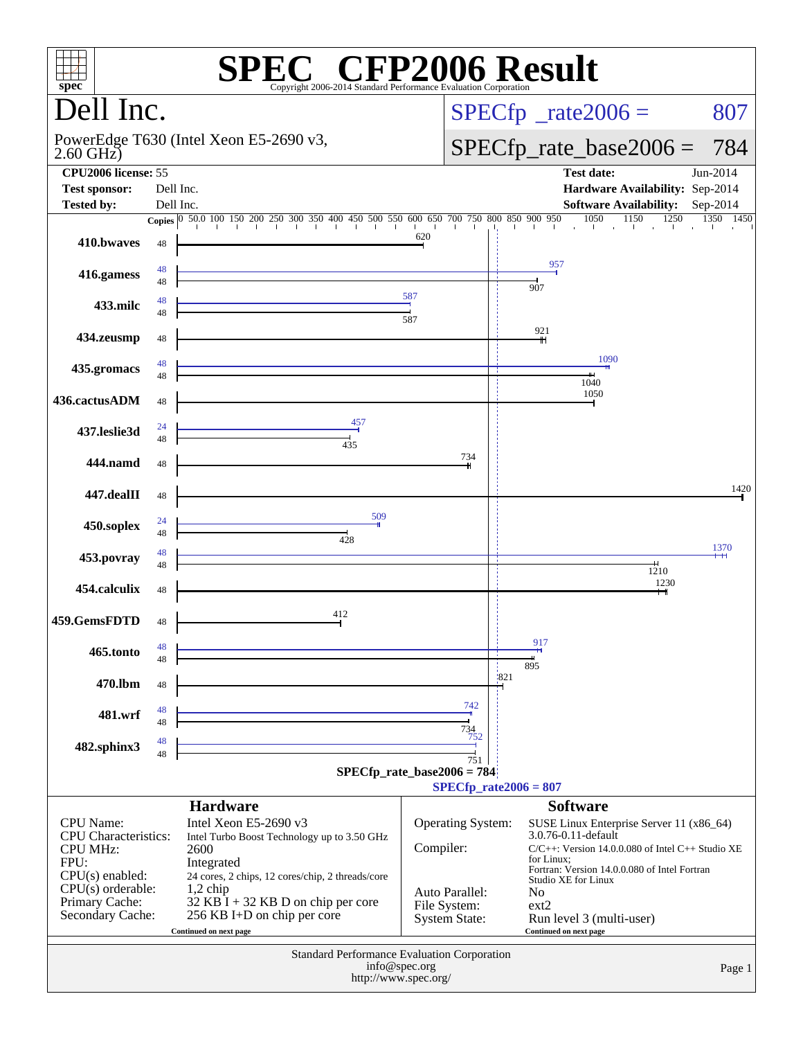|                                                                                                                                                              |                                        | <b>SPEC<sup>®</sup> CFP2006 Result</b>                                                                                                                                                                                                                                |               |                                                                             |                            |                                                                                                  |                                                                                                                                                                          |            |
|--------------------------------------------------------------------------------------------------------------------------------------------------------------|----------------------------------------|-----------------------------------------------------------------------------------------------------------------------------------------------------------------------------------------------------------------------------------------------------------------------|---------------|-----------------------------------------------------------------------------|----------------------------|--------------------------------------------------------------------------------------------------|--------------------------------------------------------------------------------------------------------------------------------------------------------------------------|------------|
| $spec^*$                                                                                                                                                     |                                        | Copyright 2006-2014 Standard Performance Evaluation Corporation                                                                                                                                                                                                       |               |                                                                             |                            |                                                                                                  |                                                                                                                                                                          |            |
| Dell Inc.                                                                                                                                                    |                                        |                                                                                                                                                                                                                                                                       |               |                                                                             | $SPECfp^*$ _rate2006 =     | 807                                                                                              |                                                                                                                                                                          |            |
| $2.60$ GHz $)$                                                                                                                                               | PowerEdge T630 (Intel Xeon E5-2690 v3, |                                                                                                                                                                                                                                                                       |               |                                                                             | $SPECfp\_rate\_base2006 =$ | 784                                                                                              |                                                                                                                                                                          |            |
| <b>CPU2006</b> license: 55                                                                                                                                   |                                        |                                                                                                                                                                                                                                                                       |               |                                                                             |                            |                                                                                                  | <b>Test date:</b>                                                                                                                                                        | Jun-2014   |
| <b>Test sponsor:</b><br><b>Tested by:</b>                                                                                                                    |                                        | Dell Inc.<br>Dell Inc.                                                                                                                                                                                                                                                |               |                                                                             |                            |                                                                                                  | Hardware Availability: Sep-2014<br><b>Software Availability:</b>                                                                                                         | $Sep-2014$ |
|                                                                                                                                                              |                                        | <b>Copies</b> $\begin{bmatrix} 0 & 50.0 & 100 & 150 & 200 & 250 & 300 & 350 & 400 & 450 & 500 & 550 & 600 & 650 & 700 & 750 & 800 & 850 & 900 & 950 \end{bmatrix}$                                                                                                    |               |                                                                             |                            |                                                                                                  | 1050<br>1150<br>1250                                                                                                                                                     | 1350 1450  |
| 410.bwayes                                                                                                                                                   | 48                                     |                                                                                                                                                                                                                                                                       | 620           |                                                                             |                            |                                                                                                  | and the contribution of the con-                                                                                                                                         |            |
| 416.gamess                                                                                                                                                   | 48<br>48                               |                                                                                                                                                                                                                                                                       |               |                                                                             |                            | 957<br>907                                                                                       |                                                                                                                                                                          |            |
| 433.milc                                                                                                                                                     | 48<br>48                               |                                                                                                                                                                                                                                                                       | 587<br>587    |                                                                             |                            |                                                                                                  |                                                                                                                                                                          |            |
| 434.zeusmp                                                                                                                                                   | 48                                     |                                                                                                                                                                                                                                                                       |               |                                                                             |                            | 921                                                                                              |                                                                                                                                                                          |            |
| 435.gromacs                                                                                                                                                  | 48<br>48                               |                                                                                                                                                                                                                                                                       |               |                                                                             |                            |                                                                                                  | 1090<br>1040                                                                                                                                                             |            |
| 436.cactusADM                                                                                                                                                | 48                                     |                                                                                                                                                                                                                                                                       |               |                                                                             |                            |                                                                                                  | 1050                                                                                                                                                                     |            |
| 437.leslie3d                                                                                                                                                 | 24<br>48                               | 457<br>$\frac{1}{435}$                                                                                                                                                                                                                                                |               |                                                                             |                            |                                                                                                  |                                                                                                                                                                          |            |
| 444.namd                                                                                                                                                     | 48                                     |                                                                                                                                                                                                                                                                       |               | 734                                                                         |                            |                                                                                                  |                                                                                                                                                                          |            |
| 447.dealII                                                                                                                                                   | 48                                     |                                                                                                                                                                                                                                                                       |               |                                                                             |                            |                                                                                                  |                                                                                                                                                                          | 1420       |
| 450.soplex                                                                                                                                                   | 24<br>48                               | 509<br>428                                                                                                                                                                                                                                                            |               |                                                                             |                            |                                                                                                  |                                                                                                                                                                          | 1370       |
| 453.povray                                                                                                                                                   | 48<br>48                               |                                                                                                                                                                                                                                                                       |               |                                                                             |                            |                                                                                                  | 1210                                                                                                                                                                     |            |
| 454.calculix                                                                                                                                                 | 48                                     |                                                                                                                                                                                                                                                                       |               |                                                                             |                            |                                                                                                  | 1230                                                                                                                                                                     |            |
| 459.GemsFDTD                                                                                                                                                 | 48                                     | 412                                                                                                                                                                                                                                                                   |               |                                                                             |                            | 917                                                                                              |                                                                                                                                                                          |            |
| 465.tonto                                                                                                                                                    | 48<br>48                               |                                                                                                                                                                                                                                                                       |               |                                                                             | 1821                       | 895                                                                                              |                                                                                                                                                                          |            |
| 470.lbm                                                                                                                                                      | 48                                     |                                                                                                                                                                                                                                                                       |               | 742                                                                         |                            |                                                                                                  |                                                                                                                                                                          |            |
| 481.wrf                                                                                                                                                      | 48<br>48<br>48                         |                                                                                                                                                                                                                                                                       |               | 734<br>752                                                                  |                            |                                                                                                  |                                                                                                                                                                          |            |
| 482.sphinx3                                                                                                                                                  | 48                                     |                                                                                                                                                                                                                                                                       |               | 751                                                                         |                            |                                                                                                  |                                                                                                                                                                          |            |
|                                                                                                                                                              |                                        | $SPECfp_rate\_base2006 = 784$                                                                                                                                                                                                                                         |               | $SPECfp_{rate}2006 = 807$                                                   |                            |                                                                                                  |                                                                                                                                                                          |            |
|                                                                                                                                                              |                                        | <b>Hardware</b>                                                                                                                                                                                                                                                       |               |                                                                             |                            | <b>Software</b>                                                                                  |                                                                                                                                                                          |            |
| <b>CPU</b> Name:<br><b>CPU</b> Characteristics:<br><b>CPU MHz:</b><br>FPU:<br>$CPU(s)$ enabled:<br>$CPU(s)$ orderable:<br>Primary Cache:<br>Secondary Cache: |                                        | Intel Xeon E5-2690 v3<br>Intel Turbo Boost Technology up to 3.50 GHz<br>2600<br>Integrated<br>24 cores, 2 chips, 12 cores/chip, 2 threads/core<br>$1,2$ chip<br>$32$ KB $\hat{I}$ + 32 KB D on chip per core<br>256 KB I+D on chip per core<br>Continued on next page | Compiler:     | Operating System:<br>Auto Parallel:<br>File System:<br><b>System State:</b> |                            | 3.0.76-0.11-default<br>for Linux;<br>Studio XE for Linux<br>No<br>ext2<br>Continued on next page | SUSE Linux Enterprise Server 11 (x86_64)<br>C/C++: Version 14.0.0.080 of Intel C++ Studio XE<br>Fortran: Version 14.0.0.080 of Intel Fortran<br>Run level 3 (multi-user) |            |
|                                                                                                                                                              |                                        | Standard Performance Evaluation Corporation<br>http://www.spec.org/                                                                                                                                                                                                   | info@spec.org |                                                                             |                            |                                                                                                  |                                                                                                                                                                          | Page 1     |
|                                                                                                                                                              |                                        |                                                                                                                                                                                                                                                                       |               |                                                                             |                            |                                                                                                  |                                                                                                                                                                          |            |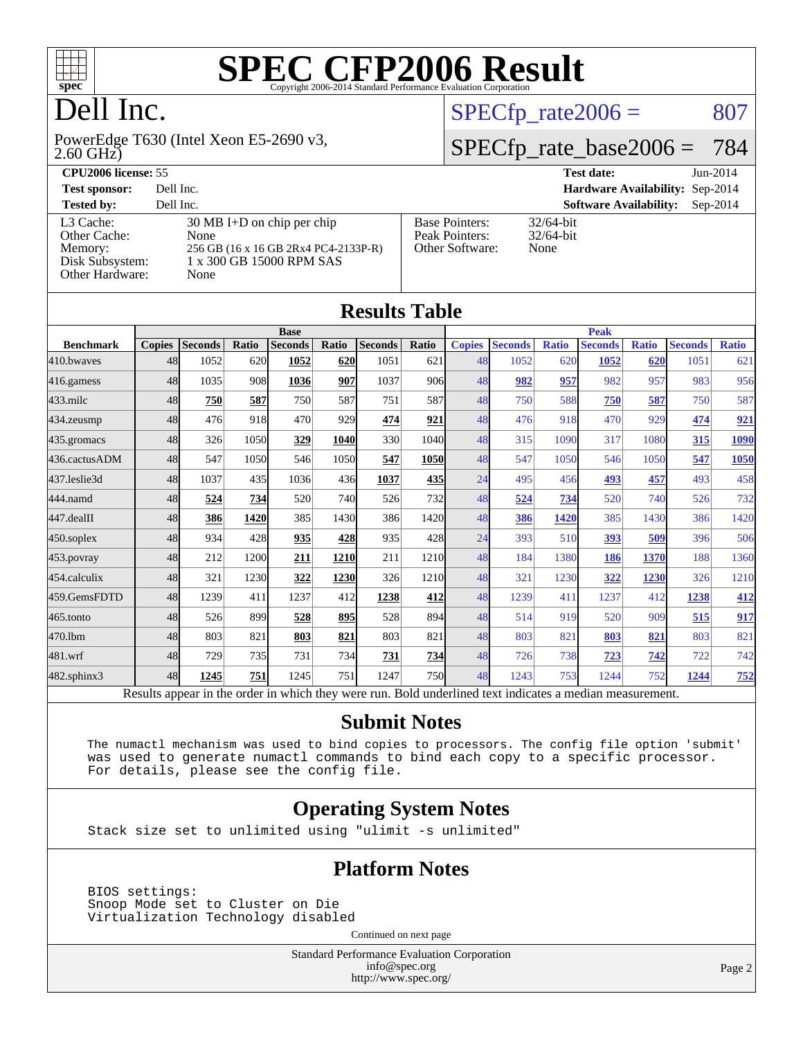

## Dell Inc.

2.60 GHz) PowerEdge T630 (Intel Xeon E5-2690 v3,

### $SPECTp_rate2006 = 807$

## [SPECfp\\_rate\\_base2006 =](http://www.spec.org/auto/cpu2006/Docs/result-fields.html#SPECfpratebase2006) 784

| <b>CPU2006 license: 55</b>                                                 |                                                                                                                          |                                                            | <b>Test date:</b><br>$Jun-2014$             |
|----------------------------------------------------------------------------|--------------------------------------------------------------------------------------------------------------------------|------------------------------------------------------------|---------------------------------------------|
| <b>Test sponsor:</b>                                                       | Dell Inc.                                                                                                                |                                                            | <b>Hardware Availability: Sep-2014</b>      |
| <b>Tested by:</b>                                                          | Dell Inc.                                                                                                                |                                                            | <b>Software Availability:</b><br>$Sep-2014$ |
| L3 Cache:<br>Other Cache:<br>Memory:<br>Disk Subsystem:<br>Other Hardware: | $30 \text{ MB I+D}$ on chip per chip<br>None<br>256 GB (16 x 16 GB 2Rx4 PC4-2133P-R)<br>1 x 300 GB 15000 RPM SAS<br>None | <b>Base Pointers:</b><br>Peak Pointers:<br>Other Software: | $32/64$ -bit<br>$32/64$ -bit<br>None        |

**[Results Table](http://www.spec.org/auto/cpu2006/Docs/result-fields.html#ResultsTable)**

| Results Table    |               |                                                                                                          |       |                |            |                |            |               |                |              |                |              |                |              |  |  |  |
|------------------|---------------|----------------------------------------------------------------------------------------------------------|-------|----------------|------------|----------------|------------|---------------|----------------|--------------|----------------|--------------|----------------|--------------|--|--|--|
| <b>Base</b>      |               |                                                                                                          |       |                |            |                |            |               |                | <b>Peak</b>  |                |              |                |              |  |  |  |
| <b>Benchmark</b> | <b>Copies</b> | <b>Seconds</b>                                                                                           | Ratio | <b>Seconds</b> | Ratio      | <b>Seconds</b> | Ratio      | <b>Copies</b> | <b>Seconds</b> | <b>Ratio</b> | <b>Seconds</b> | <b>Ratio</b> | <b>Seconds</b> | <b>Ratio</b> |  |  |  |
| 410.bwaves       | 48            | 1052                                                                                                     | 620   | 1052           | 620        | 1051           | 621        | 48            | 1052           | 620          | 1052           | 620          | 1051           | 621          |  |  |  |
| 416.gamess       | 48            | 1035                                                                                                     | 908   | 1036           | 907        | 1037           | 906        | 48            | 982            | 957          | 982            | 957          | 983            | 956          |  |  |  |
| $433$ .milc      | 48            | 750                                                                                                      | 587   | 750            | 587        | 751            | 587        | 48            | 750            | 588          | 750            | 587          | 750            | 587          |  |  |  |
| 434.zeusmp       | 48            | 476                                                                                                      | 918   | 470            | 929        | 474            | 921        | 48            | 476            | 918          | 470            | 929          | 474            | 921          |  |  |  |
| 435.gromacs      | 48            | 326                                                                                                      | 1050  | 329            | 1040       | 330            | 1040       | 48            | 315            | 1090         | 317            | 1080         | 315            | 1090         |  |  |  |
| 436.cactusADM    | 48            | 547                                                                                                      | 1050  | 546            | 1050       | 547            | 1050       | 48            | 547            | 1050         | 546            | 1050         | 547            | 1050         |  |  |  |
| 437.leslie3d     | 48            | 1037                                                                                                     | 435   | 1036           | 436        | 1037           | 435        | 24            | 495            | 456          | 493            | 457          | 493            | 458          |  |  |  |
| 444.namd         | 48            | 524                                                                                                      | 734   | 520            | 740        | 526            | 732        | 48            | 524            | 734          | 520            | 740          | 526            | 732          |  |  |  |
| 447.dealII       | 48            | 386                                                                                                      | 1420  | 385            | 1430       | 386            | 1420       | 48            | 386            | 1420         | 385            | 1430         | 386            | 1420         |  |  |  |
| 450.soplex       | 48            | 934                                                                                                      | 428   | 935            | 428        | 935            | 428        | 24            | 393            | 510          | 393            | 509          | 396            | 506          |  |  |  |
| 453.povray       | 48            | 212                                                                                                      | 1200  | 211            | 1210       | 211            | 1210       | 48            | 184            | 1380         | 186            | 1370         | 188            | 1360         |  |  |  |
| 454.calculix     | 48            | 321                                                                                                      | 1230  | 322            | 1230       | 326            | 1210       | 48            | 321            | 1230         | 322            | 1230         | 326            | 1210         |  |  |  |
| 459.GemsFDTD     | 48            | 1239                                                                                                     | 411   | 1237           | 412        | 1238           | 412        | 48            | 1239           | 411          | 1237           | 412          | 1238           | 412          |  |  |  |
| 465.tonto        | 48            | 526                                                                                                      | 899   | 528            | <u>895</u> | 528            | 894        | 48            | 514            | 919          | 520            | 909          | 515            | 917          |  |  |  |
| 470.1bm          | 48            | 803                                                                                                      | 821   | 803            | 821        | 803            | 821        | 48            | 803            | 821          | 803            | 821          | 803            | 821          |  |  |  |
| 481.wrf          | 48            | 729                                                                                                      | 735   | 731            | 734        | 731            | 734        | 48            | 726            | 738          | 723            | 742          | 722            | 742          |  |  |  |
| 482.sphinx3      | 48            | 1245                                                                                                     | 751   | 1245           | 751        | 1247           | <b>750</b> | 48            | 1243           | 753          | 1244           | 752          | 1244           | 752          |  |  |  |
|                  |               | Results appear in the order in which they were run. Bold underlined text indicates a median measurement. |       |                |            |                |            |               |                |              |                |              |                |              |  |  |  |

#### **[Submit Notes](http://www.spec.org/auto/cpu2006/Docs/result-fields.html#SubmitNotes)**

 The numactl mechanism was used to bind copies to processors. The config file option 'submit' was used to generate numactl commands to bind each copy to a specific processor. For details, please see the config file.

#### **[Operating System Notes](http://www.spec.org/auto/cpu2006/Docs/result-fields.html#OperatingSystemNotes)**

Stack size set to unlimited using "ulimit -s unlimited"

#### **[Platform Notes](http://www.spec.org/auto/cpu2006/Docs/result-fields.html#PlatformNotes)**

 BIOS settings: Snoop Mode set to Cluster on Die Virtualization Technology disabled

Continued on next page

Standard Performance Evaluation Corporation [info@spec.org](mailto:info@spec.org) <http://www.spec.org/>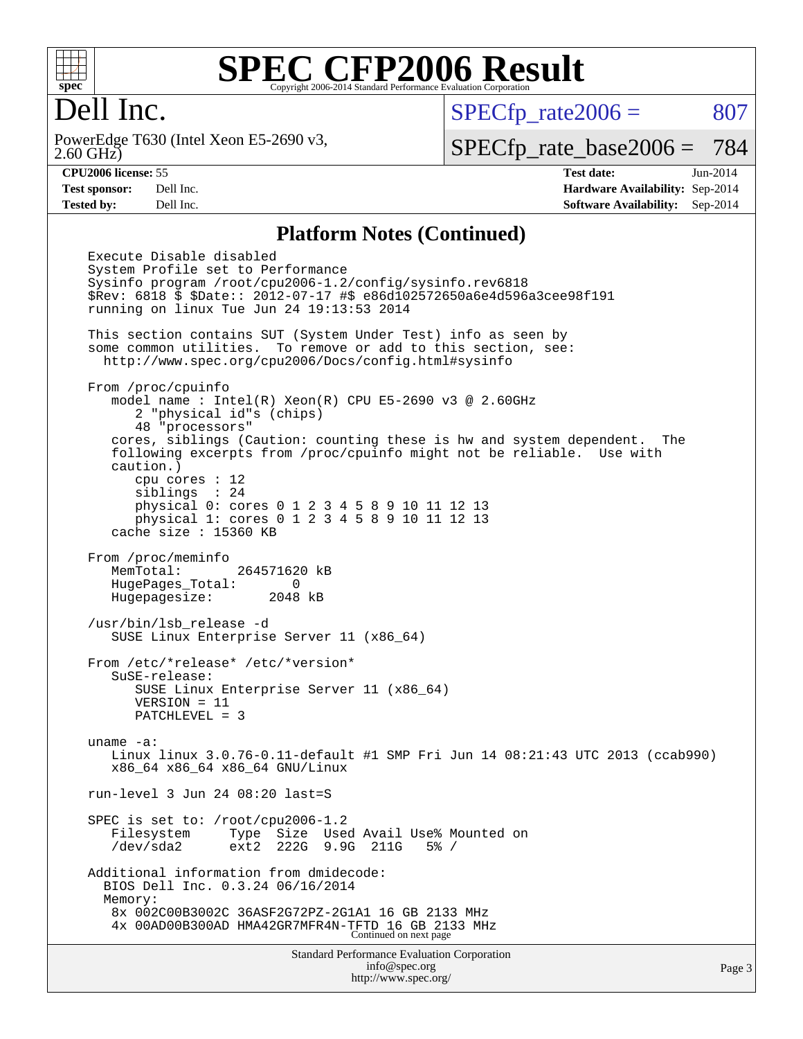

### Dell Inc.

2.60 GHz) PowerEdge T630 (Intel Xeon E5-2690 v3,  $SPECTp_rate2006 = 807$ 

[SPECfp\\_rate\\_base2006 =](http://www.spec.org/auto/cpu2006/Docs/result-fields.html#SPECfpratebase2006) 784

**[CPU2006 license:](http://www.spec.org/auto/cpu2006/Docs/result-fields.html#CPU2006license)** 55 **[Test date:](http://www.spec.org/auto/cpu2006/Docs/result-fields.html#Testdate)** Jun-2014 **[Test sponsor:](http://www.spec.org/auto/cpu2006/Docs/result-fields.html#Testsponsor)** Dell Inc. **[Hardware Availability:](http://www.spec.org/auto/cpu2006/Docs/result-fields.html#HardwareAvailability)** Sep-2014 **[Tested by:](http://www.spec.org/auto/cpu2006/Docs/result-fields.html#Testedby)** Dell Inc. **[Software Availability:](http://www.spec.org/auto/cpu2006/Docs/result-fields.html#SoftwareAvailability)** Sep-2014

#### **[Platform Notes \(Continued\)](http://www.spec.org/auto/cpu2006/Docs/result-fields.html#PlatformNotes)**

Standard Performance Evaluation Corporation [info@spec.org](mailto:info@spec.org) Execute Disable disabled System Profile set to Performance Sysinfo program /root/cpu2006-1.2/config/sysinfo.rev6818 \$Rev: 6818 \$ \$Date:: 2012-07-17 #\$ e86d102572650a6e4d596a3cee98f191 running on linux Tue Jun 24 19:13:53 2014 This section contains SUT (System Under Test) info as seen by some common utilities. To remove or add to this section, see: <http://www.spec.org/cpu2006/Docs/config.html#sysinfo> From /proc/cpuinfo model name : Intel(R) Xeon(R) CPU E5-2690 v3 @ 2.60GHz 2 "physical id"s (chips) 48 "processors" cores, siblings (Caution: counting these is hw and system dependent. The following excerpts from /proc/cpuinfo might not be reliable. Use with caution.) cpu cores : 12 siblings : 24 physical 0: cores 0 1 2 3 4 5 8 9 10 11 12 13 physical 1: cores 0 1 2 3 4 5 8 9 10 11 12 13 cache size : 15360 KB From /proc/meminfo MemTotal: 264571620 kB HugePages\_Total: 0 Hugepagesize: 2048 kB /usr/bin/lsb\_release -d SUSE Linux Enterprise Server 11 (x86\_64) From /etc/\*release\* /etc/\*version\* SuSE-release: SUSE Linux Enterprise Server 11 (x86\_64) VERSION = 11 PATCHLEVEL = 3 uname -a: Linux linux 3.0.76-0.11-default #1 SMP Fri Jun 14 08:21:43 UTC 2013 (ccab990) x86\_64 x86\_64 x86\_64 GNU/Linux run-level 3 Jun 24 08:20 last=S SPEC is set to: /root/cpu2006-1.2 Filesystem Type Size Used Avail Use% Mounted on /dev/sda2 ext2 222G 9.9G 211G 5% / Additional information from dmidecode: BIOS Dell Inc. 0.3.24 06/16/2014 Memory: 8x 002C00B3002C 36ASF2G72PZ-2G1A1 16 GB 2133 MHz 4x 00AD00B300AD HMA42GR7MFR4N-TFTD 16 GB 2133 MHz Continued on next page

<http://www.spec.org/>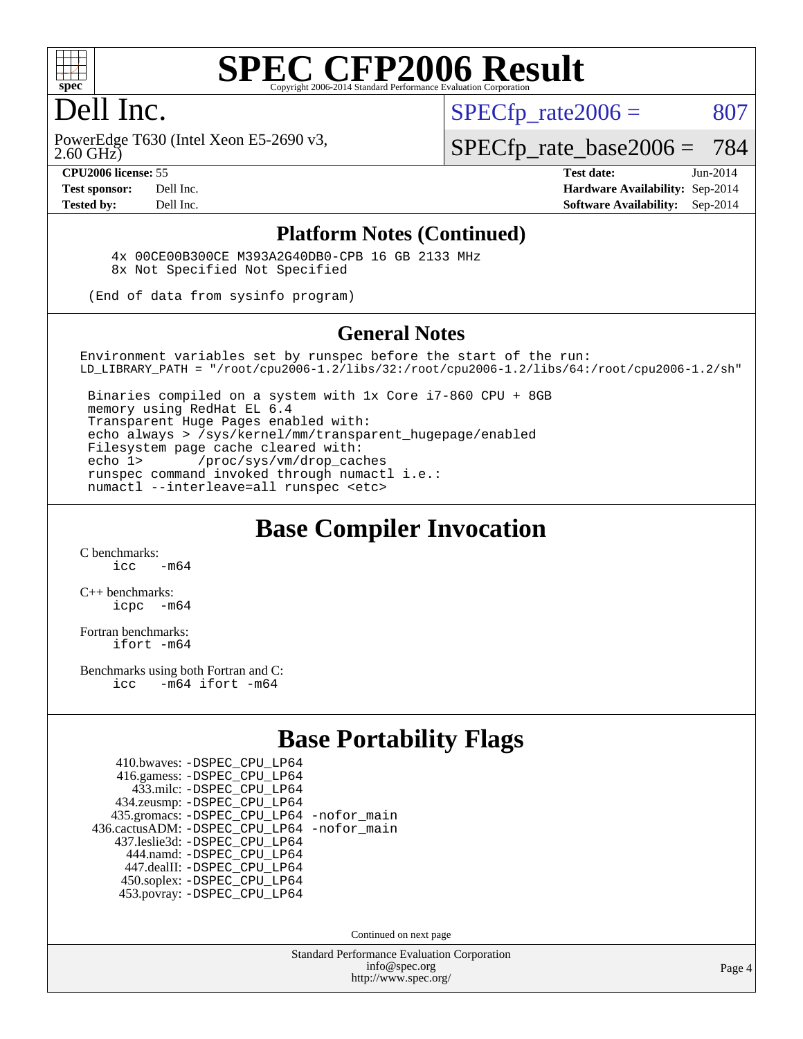

### Dell Inc.

 $SPECTp\_rate2006 = 807$ 

2.60 GHz) PowerEdge T630 (Intel Xeon E5-2690 v3,

[SPECfp\\_rate\\_base2006 =](http://www.spec.org/auto/cpu2006/Docs/result-fields.html#SPECfpratebase2006) 784

**[CPU2006 license:](http://www.spec.org/auto/cpu2006/Docs/result-fields.html#CPU2006license)** 55 **[Test date:](http://www.spec.org/auto/cpu2006/Docs/result-fields.html#Testdate)** Jun-2014 **[Test sponsor:](http://www.spec.org/auto/cpu2006/Docs/result-fields.html#Testsponsor)** Dell Inc. **[Hardware Availability:](http://www.spec.org/auto/cpu2006/Docs/result-fields.html#HardwareAvailability)** Sep-2014 **[Tested by:](http://www.spec.org/auto/cpu2006/Docs/result-fields.html#Testedby)** Dell Inc. **[Software Availability:](http://www.spec.org/auto/cpu2006/Docs/result-fields.html#SoftwareAvailability)** Sep-2014

#### **[Platform Notes \(Continued\)](http://www.spec.org/auto/cpu2006/Docs/result-fields.html#PlatformNotes)**

 4x 00CE00B300CE M393A2G40DB0-CPB 16 GB 2133 MHz 8x Not Specified Not Specified

(End of data from sysinfo program)

#### **[General Notes](http://www.spec.org/auto/cpu2006/Docs/result-fields.html#GeneralNotes)**

Environment variables set by runspec before the start of the run: LD\_LIBRARY\_PATH = "/root/cpu2006-1.2/libs/32:/root/cpu2006-1.2/libs/64:/root/cpu2006-1.2/sh"

 Binaries compiled on a system with 1x Core i7-860 CPU + 8GB memory using RedHat EL 6.4 Transparent Huge Pages enabled with: echo always > /sys/kernel/mm/transparent\_hugepage/enabled Filesystem page cache cleared with: echo 1> /proc/sys/vm/drop\_caches runspec command invoked through numactl i.e.: numactl --interleave=all runspec <etc>

#### **[Base Compiler Invocation](http://www.spec.org/auto/cpu2006/Docs/result-fields.html#BaseCompilerInvocation)**

[C benchmarks](http://www.spec.org/auto/cpu2006/Docs/result-fields.html#Cbenchmarks):  $\frac{1}{2}$  cc  $-$  m64

[C++ benchmarks:](http://www.spec.org/auto/cpu2006/Docs/result-fields.html#CXXbenchmarks) [icpc -m64](http://www.spec.org/cpu2006/results/res2014q3/cpu2006-20140909-31326.flags.html#user_CXXbase_intel_icpc_64bit_bedb90c1146cab66620883ef4f41a67e)

[Fortran benchmarks](http://www.spec.org/auto/cpu2006/Docs/result-fields.html#Fortranbenchmarks): [ifort -m64](http://www.spec.org/cpu2006/results/res2014q3/cpu2006-20140909-31326.flags.html#user_FCbase_intel_ifort_64bit_ee9d0fb25645d0210d97eb0527dcc06e)

[Benchmarks using both Fortran and C](http://www.spec.org/auto/cpu2006/Docs/result-fields.html#BenchmarksusingbothFortranandC): [icc -m64](http://www.spec.org/cpu2006/results/res2014q3/cpu2006-20140909-31326.flags.html#user_CC_FCbase_intel_icc_64bit_0b7121f5ab7cfabee23d88897260401c) [ifort -m64](http://www.spec.org/cpu2006/results/res2014q3/cpu2006-20140909-31326.flags.html#user_CC_FCbase_intel_ifort_64bit_ee9d0fb25645d0210d97eb0527dcc06e)

#### **[Base Portability Flags](http://www.spec.org/auto/cpu2006/Docs/result-fields.html#BasePortabilityFlags)**

| 410.bwaves: - DSPEC CPU LP64                 |  |
|----------------------------------------------|--|
| 416.gamess: -DSPEC_CPU_LP64                  |  |
| 433.milc: -DSPEC CPU LP64                    |  |
| 434.zeusmp: -DSPEC_CPU_LP64                  |  |
| 435.gromacs: -DSPEC_CPU_LP64 -nofor_main     |  |
| 436.cactusADM: - DSPEC CPU LP64 - nofor main |  |
| 437.leslie3d: -DSPEC_CPU_LP64                |  |
| 444.namd: - DSPEC CPU LP64                   |  |
| 447.dealII: -DSPEC CPU LP64                  |  |
| 450.soplex: -DSPEC_CPU_LP64                  |  |
| 453.povray: -DSPEC CPU LP64                  |  |

Continued on next page

Standard Performance Evaluation Corporation [info@spec.org](mailto:info@spec.org) <http://www.spec.org/>

Page 4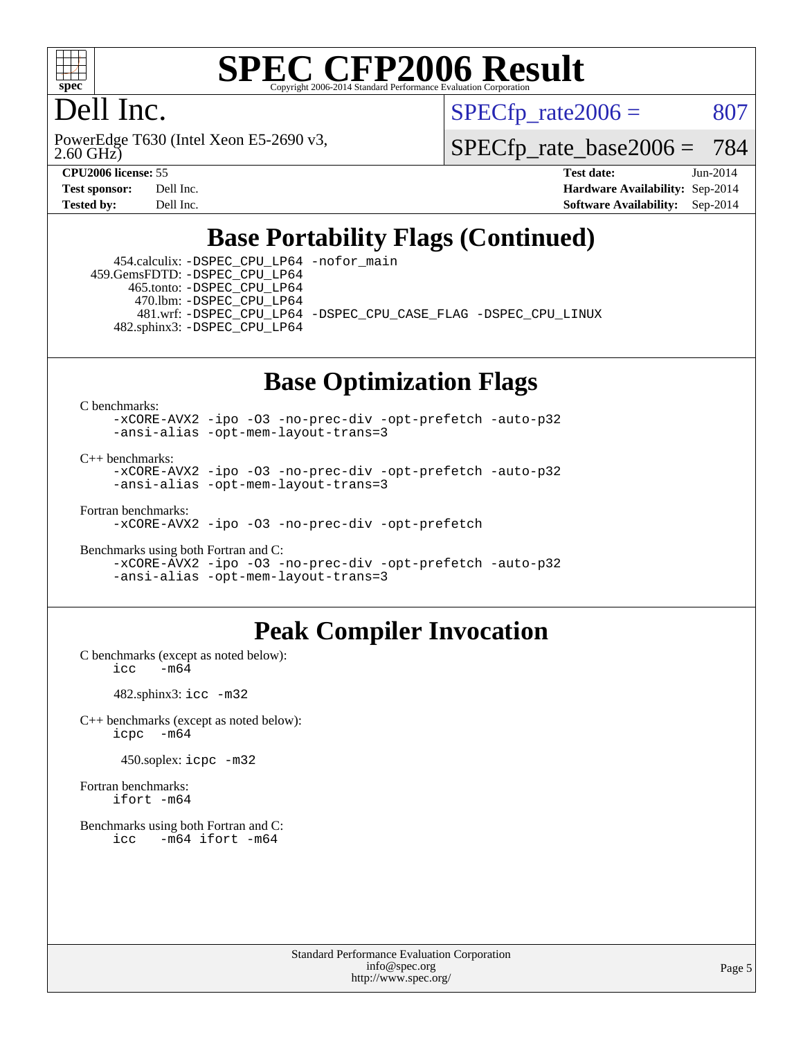

### Dell Inc.

2.60 GHz) PowerEdge T630 (Intel Xeon E5-2690 v3,  $SPECTp\_rate2006 = 807$ 

[SPECfp\\_rate\\_base2006 =](http://www.spec.org/auto/cpu2006/Docs/result-fields.html#SPECfpratebase2006) 784

**[CPU2006 license:](http://www.spec.org/auto/cpu2006/Docs/result-fields.html#CPU2006license)** 55 **[Test date:](http://www.spec.org/auto/cpu2006/Docs/result-fields.html#Testdate)** Jun-2014 **[Test sponsor:](http://www.spec.org/auto/cpu2006/Docs/result-fields.html#Testsponsor)** Dell Inc. **[Hardware Availability:](http://www.spec.org/auto/cpu2006/Docs/result-fields.html#HardwareAvailability)** Sep-2014 **[Tested by:](http://www.spec.org/auto/cpu2006/Docs/result-fields.html#Testedby)** Dell Inc. **[Software Availability:](http://www.spec.org/auto/cpu2006/Docs/result-fields.html#SoftwareAvailability)** Sep-2014

### **[Base Portability Flags \(Continued\)](http://www.spec.org/auto/cpu2006/Docs/result-fields.html#BasePortabilityFlags)**

 454.calculix: [-DSPEC\\_CPU\\_LP64](http://www.spec.org/cpu2006/results/res2014q3/cpu2006-20140909-31326.flags.html#suite_basePORTABILITY454_calculix_DSPEC_CPU_LP64) [-nofor\\_main](http://www.spec.org/cpu2006/results/res2014q3/cpu2006-20140909-31326.flags.html#user_baseLDPORTABILITY454_calculix_f-nofor_main) 459.GemsFDTD: [-DSPEC\\_CPU\\_LP64](http://www.spec.org/cpu2006/results/res2014q3/cpu2006-20140909-31326.flags.html#suite_basePORTABILITY459_GemsFDTD_DSPEC_CPU_LP64) 465.tonto: [-DSPEC\\_CPU\\_LP64](http://www.spec.org/cpu2006/results/res2014q3/cpu2006-20140909-31326.flags.html#suite_basePORTABILITY465_tonto_DSPEC_CPU_LP64) 470.lbm: [-DSPEC\\_CPU\\_LP64](http://www.spec.org/cpu2006/results/res2014q3/cpu2006-20140909-31326.flags.html#suite_basePORTABILITY470_lbm_DSPEC_CPU_LP64) 481.wrf: [-DSPEC\\_CPU\\_LP64](http://www.spec.org/cpu2006/results/res2014q3/cpu2006-20140909-31326.flags.html#suite_basePORTABILITY481_wrf_DSPEC_CPU_LP64) [-DSPEC\\_CPU\\_CASE\\_FLAG](http://www.spec.org/cpu2006/results/res2014q3/cpu2006-20140909-31326.flags.html#b481.wrf_baseCPORTABILITY_DSPEC_CPU_CASE_FLAG) [-DSPEC\\_CPU\\_LINUX](http://www.spec.org/cpu2006/results/res2014q3/cpu2006-20140909-31326.flags.html#b481.wrf_baseCPORTABILITY_DSPEC_CPU_LINUX) 482.sphinx3: [-DSPEC\\_CPU\\_LP64](http://www.spec.org/cpu2006/results/res2014q3/cpu2006-20140909-31326.flags.html#suite_basePORTABILITY482_sphinx3_DSPEC_CPU_LP64)

### **[Base Optimization Flags](http://www.spec.org/auto/cpu2006/Docs/result-fields.html#BaseOptimizationFlags)**

[C benchmarks](http://www.spec.org/auto/cpu2006/Docs/result-fields.html#Cbenchmarks):

[-xCORE-AVX2](http://www.spec.org/cpu2006/results/res2014q3/cpu2006-20140909-31326.flags.html#user_CCbase_f-xAVX2_5f5fc0cbe2c9f62c816d3e45806c70d7) [-ipo](http://www.spec.org/cpu2006/results/res2014q3/cpu2006-20140909-31326.flags.html#user_CCbase_f-ipo) [-O3](http://www.spec.org/cpu2006/results/res2014q3/cpu2006-20140909-31326.flags.html#user_CCbase_f-O3) [-no-prec-div](http://www.spec.org/cpu2006/results/res2014q3/cpu2006-20140909-31326.flags.html#user_CCbase_f-no-prec-div) [-opt-prefetch](http://www.spec.org/cpu2006/results/res2014q3/cpu2006-20140909-31326.flags.html#user_CCbase_f-opt-prefetch) [-auto-p32](http://www.spec.org/cpu2006/results/res2014q3/cpu2006-20140909-31326.flags.html#user_CCbase_f-auto-p32) [-ansi-alias](http://www.spec.org/cpu2006/results/res2014q3/cpu2006-20140909-31326.flags.html#user_CCbase_f-ansi-alias) [-opt-mem-layout-trans=3](http://www.spec.org/cpu2006/results/res2014q3/cpu2006-20140909-31326.flags.html#user_CCbase_f-opt-mem-layout-trans_a7b82ad4bd7abf52556d4961a2ae94d5)

[C++ benchmarks:](http://www.spec.org/auto/cpu2006/Docs/result-fields.html#CXXbenchmarks)

[-xCORE-AVX2](http://www.spec.org/cpu2006/results/res2014q3/cpu2006-20140909-31326.flags.html#user_CXXbase_f-xAVX2_5f5fc0cbe2c9f62c816d3e45806c70d7) [-ipo](http://www.spec.org/cpu2006/results/res2014q3/cpu2006-20140909-31326.flags.html#user_CXXbase_f-ipo) [-O3](http://www.spec.org/cpu2006/results/res2014q3/cpu2006-20140909-31326.flags.html#user_CXXbase_f-O3) [-no-prec-div](http://www.spec.org/cpu2006/results/res2014q3/cpu2006-20140909-31326.flags.html#user_CXXbase_f-no-prec-div) [-opt-prefetch](http://www.spec.org/cpu2006/results/res2014q3/cpu2006-20140909-31326.flags.html#user_CXXbase_f-opt-prefetch) [-auto-p32](http://www.spec.org/cpu2006/results/res2014q3/cpu2006-20140909-31326.flags.html#user_CXXbase_f-auto-p32) [-ansi-alias](http://www.spec.org/cpu2006/results/res2014q3/cpu2006-20140909-31326.flags.html#user_CXXbase_f-ansi-alias) [-opt-mem-layout-trans=3](http://www.spec.org/cpu2006/results/res2014q3/cpu2006-20140909-31326.flags.html#user_CXXbase_f-opt-mem-layout-trans_a7b82ad4bd7abf52556d4961a2ae94d5)

[Fortran benchmarks](http://www.spec.org/auto/cpu2006/Docs/result-fields.html#Fortranbenchmarks):

[-xCORE-AVX2](http://www.spec.org/cpu2006/results/res2014q3/cpu2006-20140909-31326.flags.html#user_FCbase_f-xAVX2_5f5fc0cbe2c9f62c816d3e45806c70d7) [-ipo](http://www.spec.org/cpu2006/results/res2014q3/cpu2006-20140909-31326.flags.html#user_FCbase_f-ipo) [-O3](http://www.spec.org/cpu2006/results/res2014q3/cpu2006-20140909-31326.flags.html#user_FCbase_f-O3) [-no-prec-div](http://www.spec.org/cpu2006/results/res2014q3/cpu2006-20140909-31326.flags.html#user_FCbase_f-no-prec-div) [-opt-prefetch](http://www.spec.org/cpu2006/results/res2014q3/cpu2006-20140909-31326.flags.html#user_FCbase_f-opt-prefetch)

[Benchmarks using both Fortran and C](http://www.spec.org/auto/cpu2006/Docs/result-fields.html#BenchmarksusingbothFortranandC): [-xCORE-AVX2](http://www.spec.org/cpu2006/results/res2014q3/cpu2006-20140909-31326.flags.html#user_CC_FCbase_f-xAVX2_5f5fc0cbe2c9f62c816d3e45806c70d7) [-ipo](http://www.spec.org/cpu2006/results/res2014q3/cpu2006-20140909-31326.flags.html#user_CC_FCbase_f-ipo) [-O3](http://www.spec.org/cpu2006/results/res2014q3/cpu2006-20140909-31326.flags.html#user_CC_FCbase_f-O3) [-no-prec-div](http://www.spec.org/cpu2006/results/res2014q3/cpu2006-20140909-31326.flags.html#user_CC_FCbase_f-no-prec-div) [-opt-prefetch](http://www.spec.org/cpu2006/results/res2014q3/cpu2006-20140909-31326.flags.html#user_CC_FCbase_f-opt-prefetch) [-auto-p32](http://www.spec.org/cpu2006/results/res2014q3/cpu2006-20140909-31326.flags.html#user_CC_FCbase_f-auto-p32) [-ansi-alias](http://www.spec.org/cpu2006/results/res2014q3/cpu2006-20140909-31326.flags.html#user_CC_FCbase_f-ansi-alias) [-opt-mem-layout-trans=3](http://www.spec.org/cpu2006/results/res2014q3/cpu2006-20140909-31326.flags.html#user_CC_FCbase_f-opt-mem-layout-trans_a7b82ad4bd7abf52556d4961a2ae94d5)

#### **[Peak Compiler Invocation](http://www.spec.org/auto/cpu2006/Docs/result-fields.html#PeakCompilerInvocation)**

[C benchmarks \(except as noted below\)](http://www.spec.org/auto/cpu2006/Docs/result-fields.html#Cbenchmarksexceptasnotedbelow):<br> $\frac{1}{\text{CC}}$  -m64  $-m6\overline{4}$ 

482.sphinx3: [icc -m32](http://www.spec.org/cpu2006/results/res2014q3/cpu2006-20140909-31326.flags.html#user_peakCCLD482_sphinx3_intel_icc_a6a621f8d50482236b970c6ac5f55f93)

[C++ benchmarks \(except as noted below\):](http://www.spec.org/auto/cpu2006/Docs/result-fields.html#CXXbenchmarksexceptasnotedbelow) [icpc -m64](http://www.spec.org/cpu2006/results/res2014q3/cpu2006-20140909-31326.flags.html#user_CXXpeak_intel_icpc_64bit_bedb90c1146cab66620883ef4f41a67e)

450.soplex: [icpc -m32](http://www.spec.org/cpu2006/results/res2014q3/cpu2006-20140909-31326.flags.html#user_peakCXXLD450_soplex_intel_icpc_4e5a5ef1a53fd332b3c49e69c3330699)

[Fortran benchmarks](http://www.spec.org/auto/cpu2006/Docs/result-fields.html#Fortranbenchmarks): [ifort -m64](http://www.spec.org/cpu2006/results/res2014q3/cpu2006-20140909-31326.flags.html#user_FCpeak_intel_ifort_64bit_ee9d0fb25645d0210d97eb0527dcc06e)

[Benchmarks using both Fortran and C](http://www.spec.org/auto/cpu2006/Docs/result-fields.html#BenchmarksusingbothFortranandC): [icc -m64](http://www.spec.org/cpu2006/results/res2014q3/cpu2006-20140909-31326.flags.html#user_CC_FCpeak_intel_icc_64bit_0b7121f5ab7cfabee23d88897260401c) [ifort -m64](http://www.spec.org/cpu2006/results/res2014q3/cpu2006-20140909-31326.flags.html#user_CC_FCpeak_intel_ifort_64bit_ee9d0fb25645d0210d97eb0527dcc06e)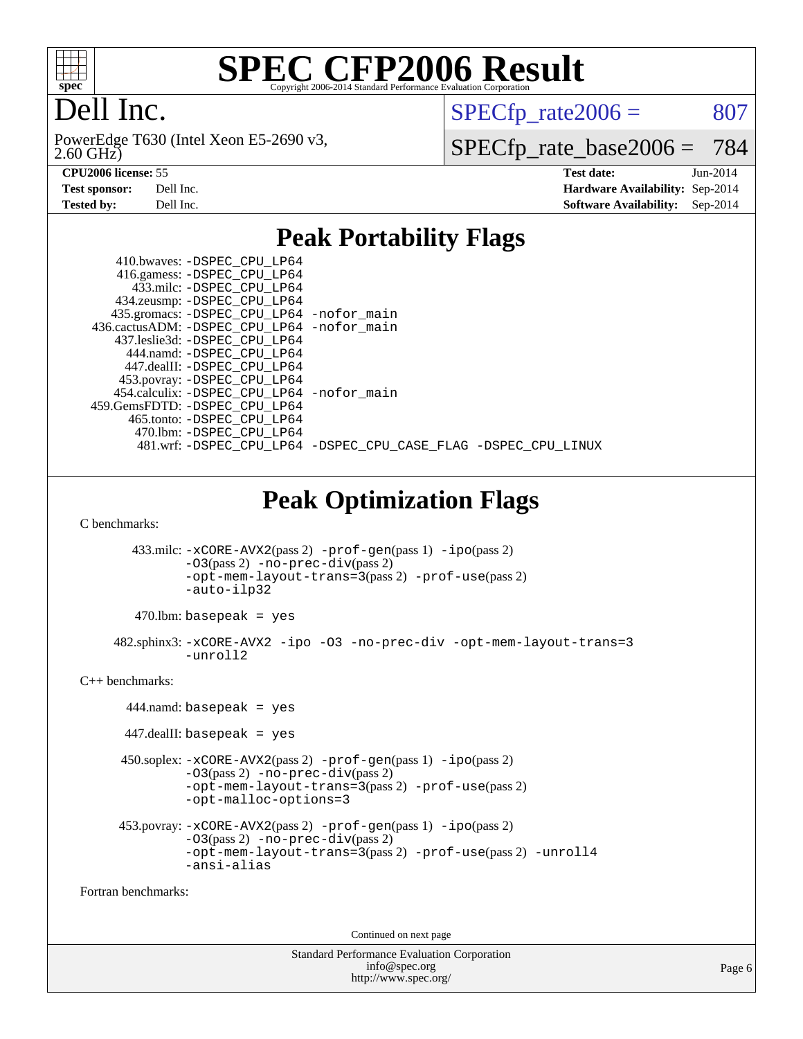

## Dell Inc.

2.60 GHz) PowerEdge T630 (Intel Xeon E5-2690 v3,  $SPECfp_rate2006 = 807$  $SPECfp_rate2006 = 807$ 

[SPECfp\\_rate\\_base2006 =](http://www.spec.org/auto/cpu2006/Docs/result-fields.html#SPECfpratebase2006) 784

**[CPU2006 license:](http://www.spec.org/auto/cpu2006/Docs/result-fields.html#CPU2006license)** 55 **[Test date:](http://www.spec.org/auto/cpu2006/Docs/result-fields.html#Testdate)** Jun-2014 **[Test sponsor:](http://www.spec.org/auto/cpu2006/Docs/result-fields.html#Testsponsor)** Dell Inc. **[Hardware Availability:](http://www.spec.org/auto/cpu2006/Docs/result-fields.html#HardwareAvailability)** Sep-2014 **[Tested by:](http://www.spec.org/auto/cpu2006/Docs/result-fields.html#Testedby)** Dell Inc. **[Software Availability:](http://www.spec.org/auto/cpu2006/Docs/result-fields.html#SoftwareAvailability)** Sep-2014

#### **[Peak Portability Flags](http://www.spec.org/auto/cpu2006/Docs/result-fields.html#PeakPortabilityFlags)**

|                                | 410.bwaves: - DSPEC_CPU_LP64<br>416.gamess: -DSPEC_CPU_LP64<br>433.milc: -DSPEC_CPU_LP64<br>434.zeusmp: - DSPEC_CPU_LP64<br>435.gromacs: -DSPEC_CPU_LP64 -nofor_main<br>436.cactusADM: -DSPEC_CPU_LP64 -nofor_main<br>437.leslie3d: - DSPEC_CPU_LP64 |
|--------------------------------|------------------------------------------------------------------------------------------------------------------------------------------------------------------------------------------------------------------------------------------------------|
| 459.GemsFDTD: - DSPEC_CPU_LP64 | 444.namd: -DSPEC CPU LP64<br>447.dealII: -DSPEC_CPU_LP64<br>453.povray: -DSPEC_CPU_LP64<br>454.calculix: -DSPEC_CPU_LP64 -nofor_main<br>465.tonto: - DSPEC_CPU_LP64                                                                                  |
|                                | 470.1bm: - DSPEC_CPU_LP64<br>481.wrf: -DSPEC_CPU_LP64 -DSPEC_CPU_CASE_FLAG -DSPEC_CPU_LINUX                                                                                                                                                          |
|                                | <b>Peak Optimization Flags</b>                                                                                                                                                                                                                       |
| C benchmarks:                  |                                                                                                                                                                                                                                                      |
|                                | 433.milc: -xCORE-AVX2(pass 2) -prof-gen(pass 1) -ipo(pass 2)<br>$-03(pass 2)$ -no-prec-div(pass 2)<br>-opt-mem-layout-trans=3(pass 2) -prof-use(pass 2)<br>-auto-ilp32                                                                               |
|                                | $470$ .lbm: basepeak = yes                                                                                                                                                                                                                           |
|                                | 482.sphinx3: -xCORE-AVX2 -ipo -03 -no-prec-div -opt-mem-layout-trans=3<br>-unroll2                                                                                                                                                                   |
| $C++$ benchmarks:              |                                                                                                                                                                                                                                                      |
|                                | $444$ .namd: basepeak = yes                                                                                                                                                                                                                          |
|                                | $447$ .dealII: basepeak = yes                                                                                                                                                                                                                        |
|                                | 450.soplex: -xCORE-AVX2(pass 2) -prof-gen(pass 1) -ipo(pass 2)<br>$-03(pass 2)$ -no-prec-div(pass 2)<br>-opt-mem-layout-trans=3(pass 2) -prof-use(pass 2)<br>-opt-malloc-options=3                                                                   |
|                                | $453.$ povray: $-xCORE-AVX2(pass 2)$ -prof-gen(pass 1) -ipo(pass 2)<br>-03(pass 2) -no-prec-div(pass 2)<br>-opt-mem-layout-trans=3(pass 2) -prof-use(pass 2) -unroll4<br>-ansi-alias                                                                 |

[Fortran benchmarks](http://www.spec.org/auto/cpu2006/Docs/result-fields.html#Fortranbenchmarks):

Continued on next page

Standard Performance Evaluation Corporation [info@spec.org](mailto:info@spec.org) <http://www.spec.org/>